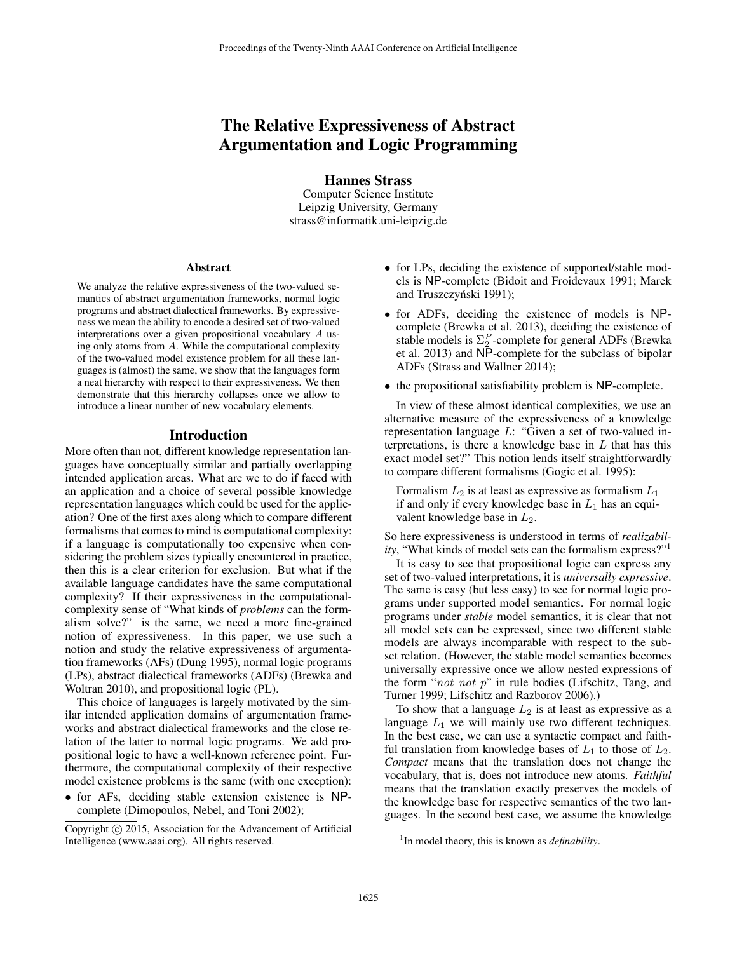# The Relative Expressiveness of Abstract Argumentation and Logic Programming

Hannes Strass Computer Science Institute Leipzig University, Germany strass@informatik.uni-leipzig.de

### Abstract

We analyze the relative expressiveness of the two-valued semantics of abstract argumentation frameworks, normal logic programs and abstract dialectical frameworks. By expressiveness we mean the ability to encode a desired set of two-valued interpretations over a given propositional vocabulary A using only atoms from A. While the computational complexity of the two-valued model existence problem for all these languages is (almost) the same, we show that the languages form a neat hierarchy with respect to their expressiveness. We then demonstrate that this hierarchy collapses once we allow to introduce a linear number of new vocabulary elements.

### Introduction

More often than not, different knowledge representation languages have conceptually similar and partially overlapping intended application areas. What are we to do if faced with an application and a choice of several possible knowledge representation languages which could be used for the application? One of the first axes along which to compare different formalisms that comes to mind is computational complexity: if a language is computationally too expensive when considering the problem sizes typically encountered in practice, then this is a clear criterion for exclusion. But what if the available language candidates have the same computational complexity? If their expressiveness in the computationalcomplexity sense of "What kinds of *problems* can the formalism solve?" is the same, we need a more fine-grained notion of expressiveness. In this paper, we use such a notion and study the relative expressiveness of argumentation frameworks (AFs) (Dung 1995), normal logic programs (LPs), abstract dialectical frameworks (ADFs) (Brewka and Woltran 2010), and propositional logic (PL).

This choice of languages is largely motivated by the similar intended application domains of argumentation frameworks and abstract dialectical frameworks and the close relation of the latter to normal logic programs. We add propositional logic to have a well-known reference point. Furthermore, the computational complexity of their respective model existence problems is the same (with one exception):

• for AFs, deciding stable extension existence is NPcomplete (Dimopoulos, Nebel, and Toni 2002);

- for LPs, deciding the existence of supported/stable models is NP-complete (Bidoit and Froidevaux 1991; Marek and Truszczyński 1991);
- for ADFs, deciding the existence of models is NPcomplete (Brewka et al. 2013), deciding the existence of stable models is  $\Sigma_2^P$ -complete for general ADFs (Brewka et al. 2013) and NP-complete for the subclass of bipolar ADFs (Strass and Wallner 2014);
- the propositional satisfiability problem is NP-complete.

In view of these almost identical complexities, we use an alternative measure of the expressiveness of a knowledge representation language L: "Given a set of two-valued interpretations, is there a knowledge base in  $L$  that has this exact model set?" This notion lends itself straightforwardly to compare different formalisms (Gogic et al. 1995):

Formalism  $L_2$  is at least as expressive as formalism  $L_1$ if and only if every knowledge base in  $L_1$  has an equivalent knowledge base in  $L_2$ .

So here expressiveness is understood in terms of *realizability*, "What kinds of model sets can the formalism express?"<sup>1</sup>

It is easy to see that propositional logic can express any set of two-valued interpretations, it is *universally expressive*. The same is easy (but less easy) to see for normal logic programs under supported model semantics. For normal logic programs under *stable* model semantics, it is clear that not all model sets can be expressed, since two different stable models are always incomparable with respect to the subset relation. (However, the stable model semantics becomes universally expressive once we allow nested expressions of the form " $not$  not  $p$ " in rule bodies (Lifschitz, Tang, and Turner 1999; Lifschitz and Razborov 2006).)

To show that a language  $L_2$  is at least as expressive as a language  $L_1$  we will mainly use two different techniques. In the best case, we can use a syntactic compact and faithful translation from knowledge bases of  $L_1$  to those of  $L_2$ . *Compact* means that the translation does not change the vocabulary, that is, does not introduce new atoms. *Faithful* means that the translation exactly preserves the models of the knowledge base for respective semantics of the two languages. In the second best case, we assume the knowledge

Copyright (c) 2015, Association for the Advancement of Artificial Intelligence (www.aaai.org). All rights reserved.

<sup>&</sup>lt;sup>1</sup>In model theory, this is known as *definability*.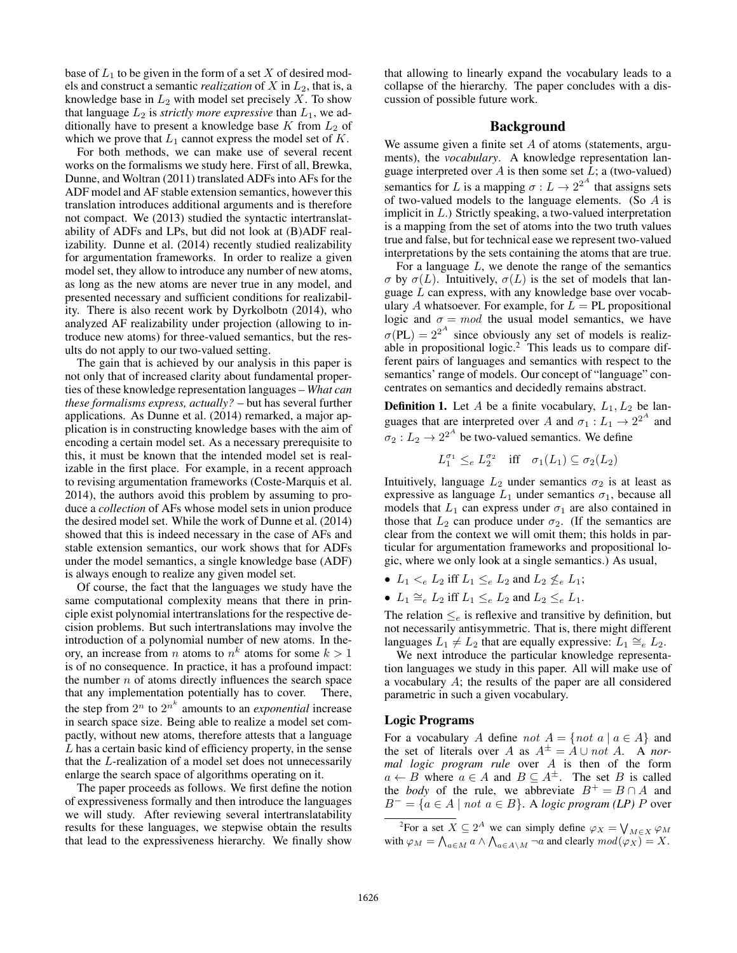base of  $L_1$  to be given in the form of a set  $X$  of desired models and construct a semantic *realization* of  $X$  in  $L_2$ , that is, a knowledge base in  $L_2$  with model set precisely X. To show that language  $L_2$  is *strictly more expressive* than  $L_1$ , we additionally have to present a knowledge base  $K$  from  $L_2$  of which we prove that  $L_1$  cannot express the model set of  $K$ .

For both methods, we can make use of several recent works on the formalisms we study here. First of all, Brewka, Dunne, and Woltran (2011) translated ADFs into AFs for the ADF model and AF stable extension semantics, however this translation introduces additional arguments and is therefore not compact. We (2013) studied the syntactic intertranslatability of ADFs and LPs, but did not look at (B)ADF realizability. Dunne et al. (2014) recently studied realizability for argumentation frameworks. In order to realize a given model set, they allow to introduce any number of new atoms, as long as the new atoms are never true in any model, and presented necessary and sufficient conditions for realizability. There is also recent work by Dyrkolbotn (2014), who analyzed AF realizability under projection (allowing to introduce new atoms) for three-valued semantics, but the results do not apply to our two-valued setting.

The gain that is achieved by our analysis in this paper is not only that of increased clarity about fundamental properties of these knowledge representation languages – *What can these formalisms express, actually?* – but has several further applications. As Dunne et al. (2014) remarked, a major application is in constructing knowledge bases with the aim of encoding a certain model set. As a necessary prerequisite to this, it must be known that the intended model set is realizable in the first place. For example, in a recent approach to revising argumentation frameworks (Coste-Marquis et al. 2014), the authors avoid this problem by assuming to produce a *collection* of AFs whose model sets in union produce the desired model set. While the work of Dunne et al. (2014) showed that this is indeed necessary in the case of AFs and stable extension semantics, our work shows that for ADFs under the model semantics, a single knowledge base (ADF) is always enough to realize any given model set.

Of course, the fact that the languages we study have the same computational complexity means that there in principle exist polynomial intertranslations for the respective decision problems. But such intertranslations may involve the introduction of a polynomial number of new atoms. In theory, an increase from *n* atoms to  $n^k$  atoms for some  $k > 1$ is of no consequence. In practice, it has a profound impact: the number  $n$  of atoms directly influences the search space that any implementation potentially has to cover. There, the step from  $2^n$  to  $2^{n^k}$  amounts to an *exponential* increase in search space size. Being able to realize a model set compactly, without new atoms, therefore attests that a language L has a certain basic kind of efficiency property, in the sense that the L-realization of a model set does not unnecessarily enlarge the search space of algorithms operating on it.

The paper proceeds as follows. We first define the notion of expressiveness formally and then introduce the languages we will study. After reviewing several intertranslatability results for these languages, we stepwise obtain the results that lead to the expressiveness hierarchy. We finally show that allowing to linearly expand the vocabulary leads to a collapse of the hierarchy. The paper concludes with a discussion of possible future work.

### Background

We assume given a finite set  $A$  of atoms (statements, arguments), the *vocabulary*. A knowledge representation language interpreted over  $A$  is then some set  $L$ ; a (two-valued) semantics for L is a mapping  $\sigma: L \to 2^{2^A}$  that assigns sets of two-valued models to the language elements. (So  $\overline{A}$  is implicit in L.) Strictly speaking, a two-valued interpretation is a mapping from the set of atoms into the two truth values true and false, but for technical ease we represent two-valued interpretations by the sets containing the atoms that are true.

For a language  $L$ , we denote the range of the semantics  $\sigma$  by  $\sigma(L)$ . Intuitively,  $\sigma(L)$  is the set of models that language L can express, with any knowledge base over vocabulary A whatsoever. For example, for  $L = PL$  propositional logic and  $\sigma = mod$  the usual model semantics, we have  $\sigma(PL) = 2^{2^A}$  since obviously any set of models is realizable in propositional logic.<sup>2</sup> This leads us to compare different pairs of languages and semantics with respect to the semantics' range of models. Our concept of "language" concentrates on semantics and decidedly remains abstract.

**Definition 1.** Let A be a finite vocabulary,  $L_1, L_2$  be languages that are interpreted over A and  $\sigma_1 : L_1 \to 2^{2^A}$  and  $\sigma_2: L_2 \to 2^{2^A}$  be two-valued semantics. We define

$$
L_1^{\sigma_1} \leq_e L_2^{\sigma_2} \quad \text{iff} \quad \sigma_1(L_1) \subseteq \sigma_2(L_2)
$$

Intuitively, language  $L_2$  under semantics  $\sigma_2$  is at least as expressive as language  $L_1$  under semantics  $\sigma_1$ , because all models that  $L_1$  can express under  $\sigma_1$  are also contained in those that  $L_2$  can produce under  $\sigma_2$ . (If the semantics are clear from the context we will omit them; this holds in particular for argumentation frameworks and propositional logic, where we only look at a single semantics.) As usual,

- $L_1 \lt_e L_2$  iff  $L_1 \leq_e L_2$  and  $L_2 \nleq_e L_1$ ;
- $L_1 \cong_e L_2$  iff  $L_1 \leq_e L_2$  and  $L_2 \leq_e L_1$ .

The relation  $\leq_e$  is reflexive and transitive by definition, but not necessarily antisymmetric. That is, there might different languages  $L_1 \neq L_2$  that are equally expressive:  $L_1 \cong_e L_2$ .

We next introduce the particular knowledge representation languages we study in this paper. All will make use of a vocabulary A; the results of the paper are all considered parametric in such a given vocabulary.

## Logic Programs

For a vocabulary A define not  $A = \{ not \ a \mid a \in A \}$  and the set of literals over A as  $A^{\pm} = A \cup not A$ . A *normal logic program rule* over A is then of the form  $a \leftarrow B$  where  $a \in A$  and  $B \subseteq A^{\pm}$ . The set B is called the *body* of the rule, we abbreviate  $B^+ = B \cap A$  and  $B^- = \{a \in A \mid not \ a \in B\}$ . A *logic program (LP)* P over

<sup>&</sup>lt;sup>2</sup>For a set  $X \subseteq 2^A$  we can simply define  $\varphi_X = \bigvee_{M \in X} \varphi_M$ with  $\varphi_M = \bigwedge_{a \in M} a \wedge \bigwedge_{a \in A \setminus M} \neg a$  and clearly  $mod(\varphi_X) = X$ .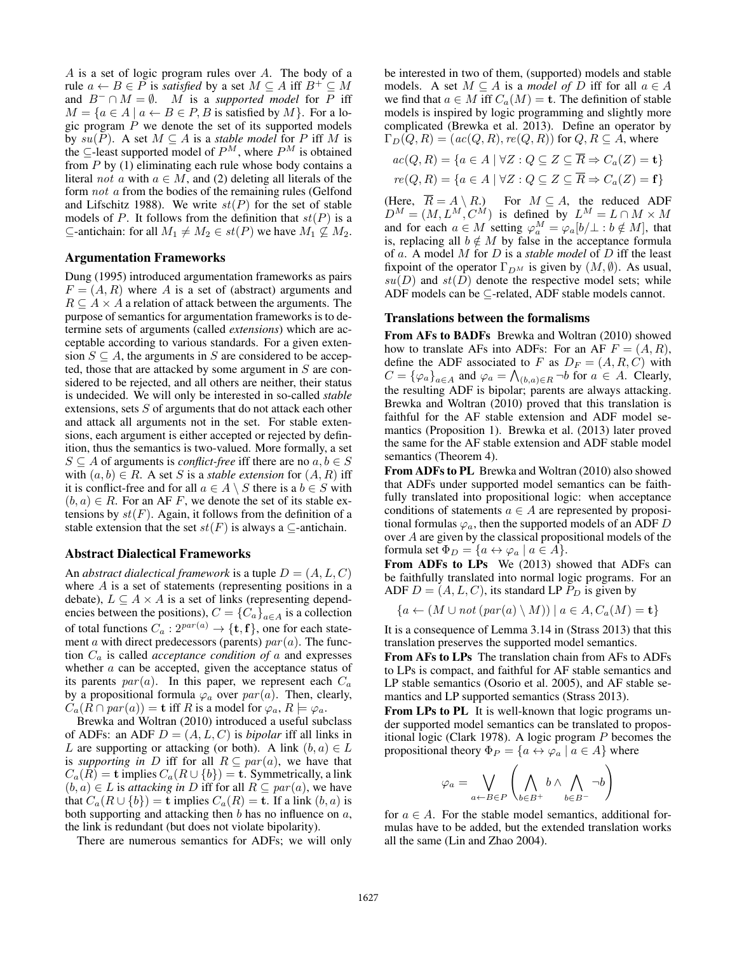A is a set of logic program rules over A. The body of a rule  $a \leftarrow B \in P$  is *satisfied* by a set  $M \subseteq A$  iff  $B^+ \subseteq M$ and  $B^- \cap M = \emptyset$ . M is a *supported model* for P iff  $M = \{a \in A \mid a \leftarrow B \in P, B \text{ is satisfied by } M\}.$  For a logic program  $P$  we denote the set of its supported models by  $su(P)$ . A set  $M \subseteq A$  is a *stable model* for P iff M is the  $\subseteq$ -least supported model of  $P^M$ , where  $P^M$  is obtained from  $P$  by (1) eliminating each rule whose body contains a literal not a with  $a \in M$ , and (2) deleting all literals of the form not a from the bodies of the remaining rules (Gelfond and Lifschitz 1988). We write  $st(P)$  for the set of stable models of P. It follows from the definition that  $st(P)$  is a ⊆-antichain: for all  $M_1 \neq M_2$  ∈  $st(P)$  we have  $M_1 \nsubseteq M_2$ .

### Argumentation Frameworks

Dung (1995) introduced argumentation frameworks as pairs  $F = (A, R)$  where A is a set of (abstract) arguments and  $R \subseteq A \times A$  a relation of attack between the arguments. The purpose of semantics for argumentation frameworks is to determine sets of arguments (called *extensions*) which are acceptable according to various standards. For a given extension  $S \subseteq A$ , the arguments in S are considered to be accepted, those that are attacked by some argument in  $S$  are considered to be rejected, and all others are neither, their status is undecided. We will only be interested in so-called *stable* extensions, sets S of arguments that do not attack each other and attack all arguments not in the set. For stable extensions, each argument is either accepted or rejected by definition, thus the semantics is two-valued. More formally, a set  $S \subseteq A$  of arguments is *conflict-free* iff there are no  $a, b \in S$ with  $(a, b) \in R$ . A set S is a *stable extension* for  $(A, R)$  iff it is conflict-free and for all  $a \in A \setminus S$  there is a  $b \in S$  with  $(b, a) \in R$ . For an AF F, we denote the set of its stable extensions by  $st(F)$ . Again, it follows from the definition of a stable extension that the set  $st(F)$  is always a  $\subseteq$ -antichain.

### Abstract Dialectical Frameworks

An *abstract dialectical framework* is a tuple  $D = (A, L, C)$ where  $A$  is a set of statements (representing positions in a debate),  $L \subseteq A \times A$  is a set of links (representing dependencies between the positions),  $C = \{C_a\}_{a \in A}$  is a collection of total functions  $C_a: 2^{par(a)} \rightarrow {\{\mathbf{t}, \mathbf{f}\}}$ , one for each statement a with direct predecessors (parents)  $par(a)$ . The function  $C_a$  is called *acceptance condition of*  $a$  and expresses whether  $a$  can be accepted, given the acceptance status of its parents par $(a)$ . In this paper, we represent each  $C_a$ by a propositional formula  $\varphi_a$  over  $par(a)$ . Then, clearly,  $C_a(R \cap par(a)) = \mathbf{t}$  iff R is a model for  $\varphi_a, R \models \varphi_a$ .

Brewka and Woltran (2010) introduced a useful subclass of ADFs: an ADF  $D = (A, L, C)$  is *bipolar* iff all links in L are supporting or attacking (or both). A link  $(b, a) \in L$ is *supporting in* D iff for all  $R \subseteq par(a)$ , we have that  $C_a(R) =$ **t** implies  $C_a(R \cup \{b\}) =$ **t**. Symmetrically, a link  $(b, a) \in L$  is *attacking in* D iff for all  $R \subseteq par(a)$ , we have that  $C_a(R \cup \{b\}) = \mathbf{t}$  implies  $C_a(R) = \mathbf{t}$ . If a link  $(b, a)$  is both supporting and attacking then  $b$  has no influence on  $a$ , the link is redundant (but does not violate bipolarity).

There are numerous semantics for ADFs; we will only

be interested in two of them, (supported) models and stable models. A set  $M \subseteq A$  is a *model of* D iff for all  $a \in A$ we find that  $a \in M$  iff  $C_a(M) = \mathbf{t}$ . The definition of stable models is inspired by logic programming and slightly more complicated (Brewka et al. 2013). Define an operator by  $\Gamma_D(Q, R) = (ac(Q, R), re(Q, R))$  for  $Q, R \subseteq A$ , where

$$
ac(Q, R) = \{a \in A \mid \forall Z : Q \subseteq Z \subseteq \overline{R} \Rightarrow C_a(Z) = \mathbf{t}\}
$$

$$
re(Q, R) = \{a \in A \mid \forall Z : Q \subseteq Z \subseteq \overline{R} \Rightarrow C_a(Z) = \mathbf{f}\}
$$

(Here,  $\overline{R} = A \setminus R$ .) For  $M \subseteq A$ , the reduced ADF  $D^M = (M, L^M, C^M)$  is defined by  $L^M = L \cap M \times M$ and for each  $a \in M$  setting  $\varphi_a^M = \varphi_a[b/\bot : b \notin M]$ , that is, replacing all  $b \notin M$  by false in the acceptance formula of a. A model M for D is a *stable model* of D iff the least fixpoint of the operator  $\Gamma_{D^M}$  is given by  $(M, \emptyset)$ . As usual,  $su(D)$  and  $st(D)$  denote the respective model sets; while ADF models can be ⊆-related, ADF stable models cannot.

### Translations between the formalisms

From AFs to BADFs Brewka and Woltran (2010) showed how to translate AFs into ADFs: For an AF  $F = (A, R)$ , define the ADF associated to F as  $D_F = (A, R, C)$  with  $C = {\varphi_a}_{a \in A}$  and  $\varphi_a = \bigwedge_{(b,a) \in R} \neg b$  for  $a \in A$ . Clearly, the resulting ADF is bipolar; parents are always attacking. Brewka and Woltran (2010) proved that this translation is faithful for the AF stable extension and ADF model semantics (Proposition 1). Brewka et al. (2013) later proved the same for the AF stable extension and ADF stable model semantics (Theorem 4).

From ADFs to PL Brewka and Woltran (2010) also showed that ADFs under supported model semantics can be faithfully translated into propositional logic: when acceptance conditions of statements  $a \in A$  are represented by propositional formulas  $\varphi_a$ , then the supported models of an ADF D over A are given by the classical propositional models of the formula set  $\Phi_D = \{a \leftrightarrow \varphi_a \mid a \in A\}.$ 

From ADFs to LPs We (2013) showed that ADFs can be faithfully translated into normal logic programs. For an ADF  $D = (A, L, C)$ , its standard LP  $P_D$  is given by

$$
\{a \leftarrow (M \cup not\ (par(a) \setminus M)) \mid a \in A, C_a(M) = \mathbf{t}\}
$$

It is a consequence of Lemma 3.14 in (Strass 2013) that this translation preserves the supported model semantics.

From AFs to LPs The translation chain from AFs to ADFs to LPs is compact, and faithful for AF stable semantics and LP stable semantics (Osorio et al. 2005), and AF stable semantics and LP supported semantics (Strass 2013).

From LPs to PL It is well-known that logic programs under supported model semantics can be translated to propositional logic (Clark 1978). A logic program P becomes the propositional theory  $\Phi_P = \{a \leftrightarrow \varphi_a \mid a \in A\}$  where

$$
\varphi_a = \bigvee_{a \leftarrow B \in P} \left( \bigwedge_{b \in B^+} b \land \bigwedge_{b \in B^-} \neg b \right)
$$

for  $a \in A$ . For the stable model semantics, additional formulas have to be added, but the extended translation works all the same (Lin and Zhao 2004).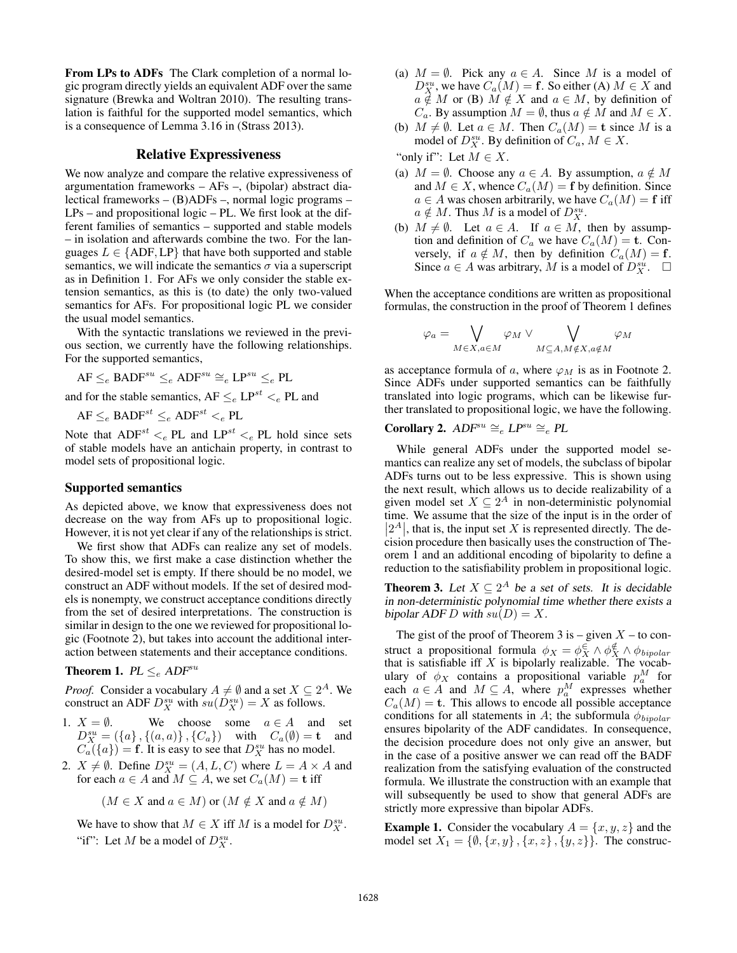From LPs to ADFs The Clark completion of a normal logic program directly yields an equivalent ADF over the same signature (Brewka and Woltran 2010). The resulting translation is faithful for the supported model semantics, which is a consequence of Lemma 3.16 in (Strass 2013).

### Relative Expressiveness

We now analyze and compare the relative expressiveness of argumentation frameworks – AFs –, (bipolar) abstract dialectical frameworks – (B)ADFs –, normal logic programs – LPs – and propositional logic – PL. We first look at the different families of semantics – supported and stable models – in isolation and afterwards combine the two. For the languages  $L \in \{ADF, LP\}$  that have both supported and stable semantics, we will indicate the semantics  $\sigma$  via a superscript as in Definition 1. For AFs we only consider the stable extension semantics, as this is (to date) the only two-valued semantics for AFs. For propositional logic PL we consider the usual model semantics.

With the syntactic translations we reviewed in the previous section, we currently have the following relationships. For the supported semantics,

$$
\mathsf{AF} \leq_e \mathsf{BADF}^{su} \leq_e \mathsf{ADF}^{su} \cong_e \mathsf{LP}^{su} \leq_e \mathsf{PL}
$$

and for the stable semantics,  $AF \leq_e LP^{st} \leq_e PL$  and

$$
AF \leq_e BADF^{st} \leq_e ADF^{st} \leq_e PL
$$

Note that  $ADF^{st} \leq_e PL$  and  $LP^{st} \leq_e PL$  hold since sets of stable models have an antichain property, in contrast to model sets of propositional logic.

### Supported semantics

As depicted above, we know that expressiveness does not decrease on the way from AFs up to propositional logic. However, it is not yet clear if any of the relationships is strict.

We first show that ADFs can realize any set of models. To show this, we first make a case distinction whether the desired-model set is empty. If there should be no model, we construct an ADF without models. If the set of desired models is nonempty, we construct acceptance conditions directly from the set of desired interpretations. The construction is similar in design to the one we reviewed for propositional logic (Footnote 2), but takes into account the additional interaction between statements and their acceptance conditions.

### **Theorem 1.**  $PL \leq_e ADF^{su}$

*Proof.* Consider a vocabulary  $A \neq \emptyset$  and a set  $X \subseteq 2^A$ . We construct an ADF  $D_X^{su}$  with  $su(D_X^{su}) = X$  as follows.

- 1.  $X = \emptyset$ . We choose some  $a \in A$  and set  $D_X^{su} = (\{a\}, \{(a, a)\}, \{C_a\})$  with  $C_a(\emptyset) = \mathbf{t}$  and  $C_a(\lbrace a \rbrace) = \mathbf{f}$ . It is easy to see that  $D_X^{su}$  has no model.
- 2.  $X \neq \emptyset$ . Define  $D_X^{su} = (A, L, C)$  where  $L = A \times A$  and for each  $a \in A$  and  $M \subseteq A$ , we set  $C_a(M) = \mathbf{t}$  iff

$$
(M \in X \text{ and } a \in M)
$$
 or  $(M \notin X \text{ and } a \notin M)$ 

We have to show that  $M \in X$  iff M is a model for  $D_X^{su}$ . "if": Let M be a model of  $D_X^{su}$ .

- (a)  $M = \emptyset$ . Pick any  $a \in A$ . Since M is a model of  $D_X^{su}$ , we have  $C_a(M) = \mathbf{f}$ . So either (A)  $M \in X$  and  $a \notin M$  or (B)  $M \notin X$  and  $a \in M$ , by definition of  $C_a$ . By assumption  $M = \emptyset$ , thus  $a \notin M$  and  $M \in X$ .
- (b)  $M \neq \emptyset$ . Let  $a \in M$ . Then  $C_a(M) = \mathbf{t}$  since M is a model of  $D_X^{su}$ . By definition of  $C_a$ ,  $M \in X$ .

"only if": Let  $M \in X$ .

- (a)  $M = \emptyset$ . Choose any  $a \in A$ . By assumption,  $a \notin M$ and  $M \in X$ , whence  $C_a(M) = \mathbf{f}$  by definition. Since  $a \in A$  was chosen arbitrarily, we have  $C_a(M) = \mathbf{f}$  iff  $a \notin M$ . Thus M is a model of  $D_X^{su}$ .
- (b)  $M \neq \emptyset$ . Let  $a \in A$ . If  $a \in M$ , then by assumption and definition of  $C_a$  we have  $C_a(M) = t$ . Conversely, if  $a \notin M$ , then by definition  $C_a(M) = \mathbf{f}$ . Since  $a \in A$  was arbitrary, M is a model of  $D_X^{s\dot{u}}$ .  $\Box$

When the acceptance conditions are written as propositional formulas, the construction in the proof of Theorem 1 defines

$$
\varphi_a = \bigvee_{M \in X, a \in M} \varphi_M \vee \bigvee_{M \subseteq A, M \notin X, a \notin M} \varphi_M
$$

as acceptance formula of a, where  $\varphi_M$  is as in Footnote 2. Since ADFs under supported semantics can be faithfully translated into logic programs, which can be likewise further translated to propositional logic, we have the following.

## Corollary 2.  $ADF^{su} \cong_e LP^{su} \cong_e PL$

While general ADFs under the supported model semantics can realize any set of models, the subclass of bipolar ADFs turns out to be less expressive. This is shown using the next result, which allows us to decide realizability of a given model set  $X \subseteq 2^A$  in non-deterministic polynomial time. We assume that the size of the input is in the order of  $|2^A|$ , that is, the input set X is represented directly. The decision procedure then basically uses the construction of Theorem 1 and an additional encoding of bipolarity to define a reduction to the satisfiability problem in propositional logic.

**Theorem 3.** Let  $X \subseteq 2^A$  be a set of sets. It is decidable in non-deterministic polynomial time whether there exists a bipolar ADF D with  $su(D) = X$ .

The gist of the proof of Theorem 3 is – given  $X$  – to construct a propositional formula  $\phi_X = \phi_X^{\in} \wedge \phi_X^{\notin} \wedge \phi_{bipolar}$ that is satisfiable iff  $X$  is bipolarly realizable. The vocabulary of  $\phi_X$  contains a propositional variable  $p_a^M$  for each  $a \in A$  and  $M \subseteq A$ , where  $p_a^M$  expresses whether  $C_a(M) = t$ . This allows to encode all possible acceptance conditions for all statements in A; the subformula  $\phi_{bipolar}$ ensures bipolarity of the ADF candidates. In consequence, the decision procedure does not only give an answer, but in the case of a positive answer we can read off the BADF realization from the satisfying evaluation of the constructed formula. We illustrate the construction with an example that will subsequently be used to show that general ADFs are strictly more expressive than bipolar ADFs.

**Example 1.** Consider the vocabulary  $A = \{x, y, z\}$  and the model set  $X_1 = \{ \emptyset, \{x, y\}, \{x, z\}, \{y, z\} \}$ . The construc-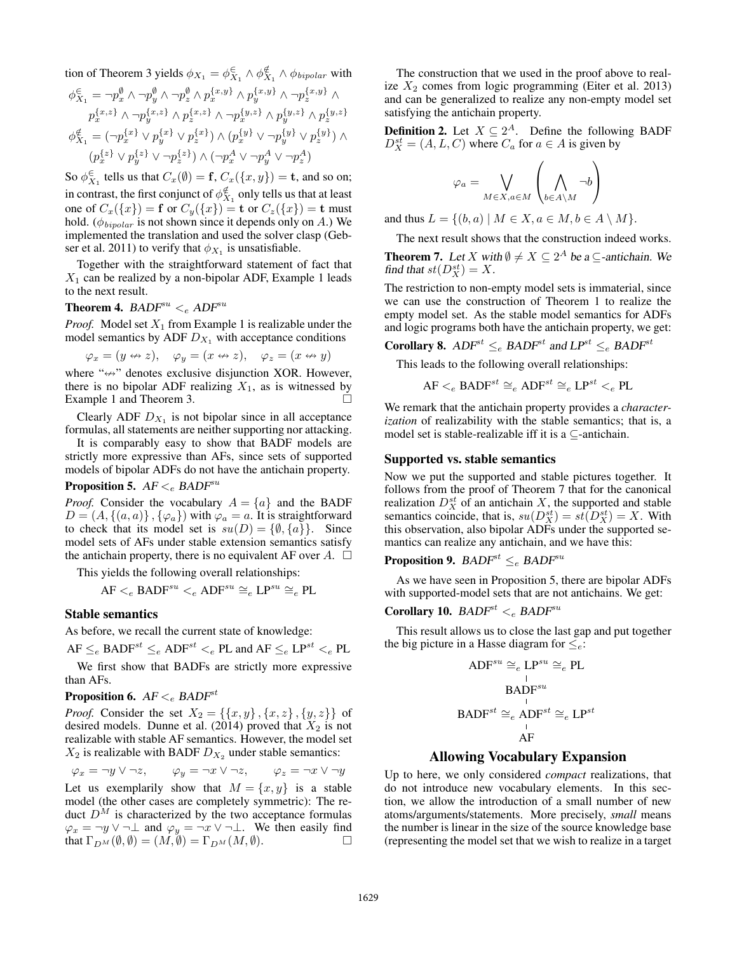tion of Theorem 3 yields 
$$
\phi_{X_1} = \phi_{X_1}^{\epsilon} \wedge \phi_{X_1}^{\epsilon} \wedge \phi_{bipolar}
$$
 with  
\n
$$
\phi_{X_1}^{\epsilon} = \neg p_x^{\emptyset} \wedge \neg p_y^{\emptyset} \wedge \neg p_z^{\emptyset} \wedge p_x^{\{x,y\}} \wedge p_y^{\{x,y\}} \wedge \neg p_z^{\{x,y\}} \wedge
$$
\n
$$
p_x^{\{x,z\}} \wedge \neg p_y^{\{x,z\}} \wedge p_z^{\{x,z\}} \wedge \neg p_x^{\{y,z\}} \wedge p_y^{\{y,z\}} \wedge p_z^{\{y,z\}} \wedge p_z^{\{y,z\}}
$$
\n
$$
\phi_{X_1}^{\epsilon} = (\neg p_x^{\{x\}} \vee p_y^{\{x\}} \vee p_z^{\{x\}}) \wedge (p_x^{\{y\}} \vee \neg p_y^{\{y\}} \vee p_z^{\{y\}}) \wedge
$$
\n
$$
(p_x^{\{z\}} \vee p_y^{\{z\}} \vee \neg p_z^{\{z\}}) \wedge (\neg p_x^A \vee \neg p_y^A \vee \neg p_z^A)
$$

So  $\phi_{X_1}^{\in}$  tells us that  $C_x(\emptyset) = \mathbf{f}, C_x(\{x, y\}) = \mathbf{t}$ , and so on; in contrast, the first conjunct of  $\phi_{X_1}^{\notin}$  only tells us that at least one of  $C_x({x}) = f$  or  $C_y({x}) = t$  or  $C_z({x}) = t$  must hold. ( $\phi_{bipolar}$  is not shown since it depends only on A.) We implemented the translation and used the solver clasp (Gebser et al. 2011) to verify that  $\phi_{X_1}$  is unsatisfiable.

Together with the straightforward statement of fact that  $X_1$  can be realized by a non-bipolar ADF, Example 1 leads to the next result.

## Theorem 4.  $BADF^{su} <_e ADF^{su}$

*Proof.* Model set  $X_1$  from Example 1 is realizable under the model semantics by ADF  $D_{X_1}$  with acceptance conditions

 $\varphi_x = (y \leftrightarrow z), \quad \varphi_y = (x \leftrightarrow z), \quad \varphi_z = (x \leftrightarrow y)$ 

where " $\Leftrightarrow$ " denotes exclusive disjunction XOR. However, there is no bipolar ADF realizing  $X_1$ , as is witnessed by Example 1 and Theorem 3.

Clearly ADF  $D_{X_1}$  is not bipolar since in all acceptance formulas, all statements are neither supporting nor attacking.

It is comparably easy to show that BADF models are strictly more expressive than AFs, since sets of supported models of bipolar ADFs do not have the antichain property.

### **Proposition 5.**  $AF <_{e}$  BADF<sup>su</sup>

*Proof.* Consider the vocabulary  $A = \{a\}$  and the BADF  $D = (A, \{(a, a)\}, \{\varphi_a\})$  with  $\varphi_a = a$ . It is straightforward to check that its model set is  $su(D) = \{\emptyset, \{a\}\}.$  Since model sets of AFs under stable extension semantics satisfy the antichain property, there is no equivalent AF over  $A$ .  $\Box$ 

This yields the following overall relationships:

AF  $\leq_e$  BADF<sup>su</sup>  $\leq_e$  ADF<sup>su</sup>  $\cong_e$  LP<sup>su</sup>  $\cong_e$  PL

### Stable semantics

As before, we recall the current state of knowledge:

 $AF \leq_e$  BADF<sup>st</sup>  $\leq_e$  ADF<sup>st</sup>  $\leq_e$  PL and AF  $\leq_e$  LP<sup>st</sup>  $\leq_e$  PL

We first show that BADFs are strictly more expressive than AFs.

### **Proposition 6.**  $AF <_e$  BADF<sup>st</sup>

*Proof.* Consider the set  $X_2 = \{ \{x, y\}, \{x, z\}, \{y, z\} \}$  of desired models. Dunne et al. (2014) proved that  $X_2$  is not realizable with stable AF semantics. However, the model set  $X_2$  is realizable with BADF  $D_{X_2}$  under stable semantics:

$$
\varphi_x = \neg y \lor \neg z, \qquad \varphi_y = \neg x \lor \neg z, \qquad \varphi_z = \neg x \lor \neg y
$$
  
Let us exemplarily show that  $M = \{x, y\}$  is a stable  
model (the other cases are completely symmetric): The re-  
duct  $D^M$  is characterized by the two acceptance formulas  

$$
\varphi_x = \neg y \lor \neg \bot
$$
 and  $\varphi_y = \neg x \lor \neg \bot$ . We then easily find  
that  $\Gamma_{D^M}(\emptyset, \emptyset) = (M, \emptyset) = \Gamma_{D^M}(M, \emptyset)$ .

The construction that we used in the proof above to realize  $X_2$  comes from logic programming (Eiter et al. 2013) and can be generalized to realize any non-empty model set satisfying the antichain property.

**Definition 2.** Let  $X \subseteq 2^A$ . Define the following BADF  $D_X^{st} = (A, L, C)$  where  $C_a$  for  $a \in A$  is given by

$$
\varphi_a = \bigvee_{M \in X, a \in M} \left( \bigwedge_{b \in A \setminus M} \neg b \right)
$$

and thus  $L = \{(b, a) \mid M \in X, a \in M, b \in A \setminus M\}.$ 

The next result shows that the construction indeed works.

**Theorem 7.** Let X with  $\emptyset \neq X \subseteq 2^A$  be a  $\subseteq$ -antichain. We find that  $st(D_X^{st}) = X$ .

The restriction to non-empty model sets is immaterial, since we can use the construction of Theorem 1 to realize the empty model set. As the stable model semantics for ADFs and logic programs both have the antichain property, we get:

**Corollary 8.** ADF<sup>st</sup>  $\leq_e$  BADF<sup>st</sup> and LP<sup>st</sup>  $\leq_e$  BADF<sup>st</sup>

This leads to the following overall relationships:

$$
\mathsf{AF}\mathrel{<_{e}} \mathsf{BADF}^{st} \cong_{e} \mathsf{ADF}^{st} \cong_{e} \mathsf{LP}^{st} \mathrel{<_{e}} \mathsf{PL}
$$

We remark that the antichain property provides a *characterization* of realizability with the stable semantics; that is, a model set is stable-realizable iff it is a  $\subseteq$ -antichain.

#### Supported vs. stable semantics

Now we put the supported and stable pictures together. It follows from the proof of Theorem 7 that for the canonical realization  $D_X^{st}$  of an antichain X, the supported and stable semantics coincide, that is,  $su(D_X^{st}) = st(D_X^{st}) = X$ . With this observation, also bipolar ADFs under the supported semantics can realize any antichain, and we have this:

**Proposition 9.** BADF<sup>st</sup>  $\leq_e$  BADF<sup>su</sup>

As we have seen in Proposition 5, there are bipolar ADFs with supported-model sets that are not antichains. We get:

## Corollary 10.  $BADF^{st} <_{e} BADF^{su}$

This result allows us to close the last gap and put together the big picture in a Hasse diagram for  $\leq_e$ :

$$
ADF^{su} \cong_e LP^{su} \cong_e PL
$$
  
\n
$$
BADF^{su}
$$
  
\n
$$
BADF^{su} \cong_e ADF^{st} \cong_e LP^{st}
$$
  
\n
$$
AP
$$
  
\n
$$
AF
$$

### Allowing Vocabulary Expansion

Up to here, we only considered *compact* realizations, that do not introduce new vocabulary elements. In this section, we allow the introduction of a small number of new atoms/arguments/statements. More precisely, *small* means the number is linear in the size of the source knowledge base (representing the model set that we wish to realize in a target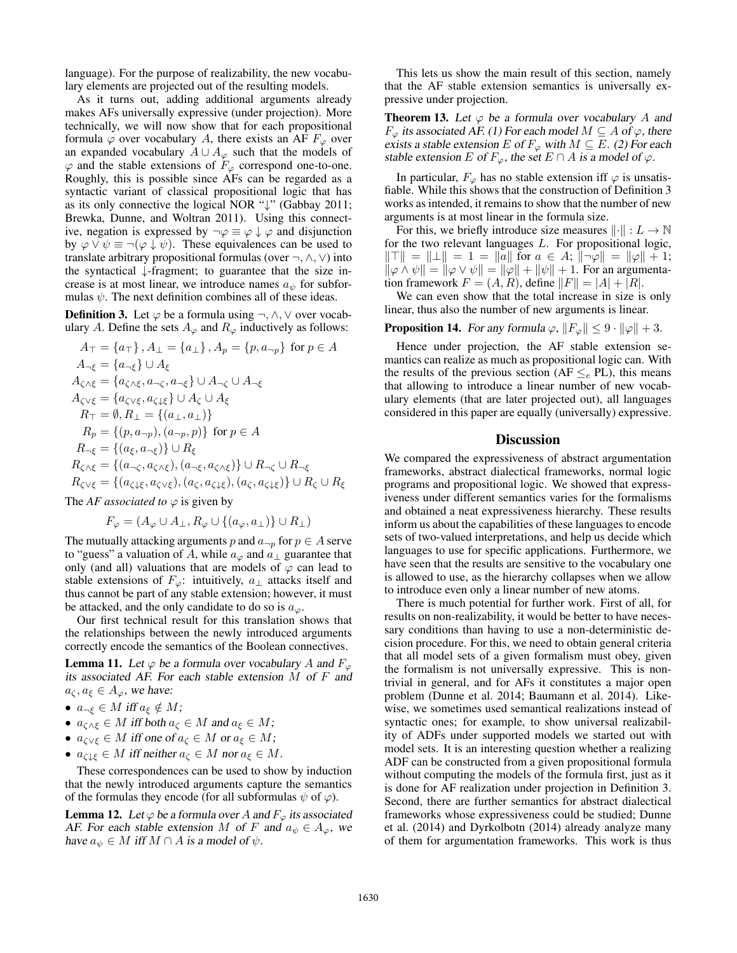language). For the purpose of realizability, the new vocabulary elements are projected out of the resulting models.

As it turns out, adding additional arguments already makes AFs universally expressive (under projection). More technically, we will now show that for each propositional formula  $\varphi$  over vocabulary A, there exists an AF  $F_{\varphi}$  over an expanded vocabulary  $A \cup A_{\varphi}$  such that the models of  $\varphi$  and the stable extensions of  $F_{\varphi}$  correspond one-to-one. Roughly, this is possible since AFs can be regarded as a syntactic variant of classical propositional logic that has as its only connective the logical NOR "↓" (Gabbay 2011; Brewka, Dunne, and Woltran 2011). Using this connective, negation is expressed by  $\neg \varphi \equiv \varphi \downarrow \varphi$  and disjunction by  $\varphi \lor \psi \equiv \neg(\varphi \downarrow \psi)$ . These equivalences can be used to translate arbitrary propositional formulas (over  $\neg, \wedge, \vee$ ) into the syntactical ↓-fragment; to guarantee that the size increase is at most linear, we introduce names  $a_{\psi}$  for subformulas  $\psi$ . The next definition combines all of these ideas.

**Definition 3.** Let  $\varphi$  be a formula using  $\neg, \wedge, \vee$  over vocabulary A. Define the sets  $A_{\varphi}$  and  $R_{\varphi}$  inductively as follows:

$$
A_{\top} = \{a_{\top}\}, A_{\bot} = \{a_{\bot}\}, A_{p} = \{p, a_{\neg p}\} \text{ for } p \in A
$$
  
\n
$$
A_{\neg \xi} = \{a_{\neg \xi}\} \cup A_{\xi}
$$
  
\n
$$
A_{\zeta \wedge \xi} = \{a_{\zeta \wedge \xi}, a_{\neg \zeta}, a_{\neg \xi}\} \cup A_{\neg \zeta} \cup A_{\neg \xi}
$$
  
\n
$$
A_{\zeta \vee \xi} = \{a_{\zeta \vee \xi}, a_{\zeta \downarrow \xi}\} \cup A_{\zeta} \cup A_{\xi}
$$
  
\n
$$
R_{\top} = \emptyset, R_{\bot} = \{(a_{\bot}, a_{\bot})\}
$$
  
\n
$$
R_{p} = \{(p, a_{\neg p}), (a_{\neg p}, p)\} \text{ for } p \in A
$$
  
\n
$$
R_{\neg \xi} = \{(a_{\xi}, a_{\neg \xi})\} \cup R_{\xi}
$$
  
\n
$$
R_{\zeta \wedge \xi} = \{(a_{\neg \zeta}, a_{\zeta \wedge \xi}), (a_{\neg \xi}, a_{\zeta \wedge \xi})\} \cup R_{\neg \zeta} \cup R_{\neg \xi}
$$
  
\n
$$
R_{\zeta \vee \xi} = \{(a_{\zeta \downarrow \xi}, a_{\zeta \vee \xi}), (a_{\zeta}, a_{\zeta \downarrow \xi}), (a_{\zeta}, a_{\zeta \downarrow \xi})\} \cup R_{\zeta} \cup R_{\xi}
$$

The *AF* associated to  $\varphi$  is given by

$$
F_{\varphi} = (A_{\varphi} \cup A_{\perp}, R_{\varphi} \cup \{(a_{\varphi}, a_{\perp})\} \cup R_{\perp})
$$

The mutually attacking arguments p and  $a_{\neg p}$  for  $p \in A$  serve to "guess" a valuation of A, while  $a_{\varphi}$  and  $a_{\perp}$  guarantee that only (and all) valuations that are models of  $\varphi$  can lead to stable extensions of  $F_{\varphi}$ : intuitively,  $a_{\perp}$  attacks itself and thus cannot be part of any stable extension; however, it must be attacked, and the only candidate to do so is  $a_{\varphi}$ .

Our first technical result for this translation shows that the relationships between the newly introduced arguments correctly encode the semantics of the Boolean connectives.

**Lemma 11.** Let  $\varphi$  be a formula over vocabulary A and  $F_{\varphi}$ its associated AF. For each stable extension M of F and  $a_{\zeta}, a_{\xi} \in A_{\varphi}$ , we have:

- $a_{\neg \xi} \in M$  iff  $a_{\xi} \notin M$ ;
- $a_{\zeta \wedge \xi} \in M$  iff both  $a_{\zeta} \in M$  and  $a_{\xi} \in M$ ;
- $a_{\zeta\vee\xi} \in M$  iff one of  $a_{\zeta} \in M$  or  $a_{\xi} \in M$ ;
- $a_{\zeta \downarrow \xi} \in M$  iff neither  $a_{\zeta} \in M$  nor  $a_{\xi} \in M$ .

These correspondences can be used to show by induction that the newly introduced arguments capture the semantics of the formulas they encode (for all subformulas  $\psi$  of  $\varphi$ ).

**Lemma 12.** Let  $\varphi$  be a formula over A and  $F_{\varphi}$  its associated AF. For each stable extension M of F and  $a_{\psi} \in A_{\varphi}$ , we have  $a_{\psi} \in M$  iff  $M \cap A$  is a model of  $\psi$ .

This lets us show the main result of this section, namely that the AF stable extension semantics is universally expressive under projection.

**Theorem 13.** Let  $\varphi$  be a formula over vocabulary A and  $F_{\varphi}$  its associated AF. (1) For each model  $M \subseteq A$  of  $\varphi$ , there exists a stable extension E of  $F_{\varphi}$  with  $M \subseteq E$ . (2) For each stable extension E of  $F_{\varphi}$ , the set  $E \cap A$  is a model of  $\varphi$ .

In particular,  $F_{\varphi}$  has no stable extension iff  $\varphi$  is unsatisfiable. While this shows that the construction of Definition 3 works as intended, it remains to show that the number of new arguments is at most linear in the formula size.

For this, we briefly introduce size measures  $\|\cdot\| : L \to \mathbb{N}$ for the two relevant languages  $L$ . For propositional logic,  $\|\top\| = \|\bot\| = 1 = \|a\|$  for  $a \in A$ ;  $\|\neg \varphi\| = \|\varphi\| + 1$ ;  $\|\varphi \wedge \psi\| = \|\varphi \vee \psi\| = \|\varphi\| + \|\psi\| + 1$ . For an argumentation framework  $F = (A, R)$ , define  $||F|| = |A| + |R|$ .

We can even show that the total increase in size is only linear, thus also the number of new arguments is linear.

#### **Proposition 14.** For any formula  $\varphi$ ,  $||F_{\varphi}|| \leq 9 \cdot ||\varphi|| + 3$ .

Hence under projection, the AF stable extension semantics can realize as much as propositional logic can. With the results of the previous section (AF  $\leq_e$  PL), this means that allowing to introduce a linear number of new vocabulary elements (that are later projected out), all languages considered in this paper are equally (universally) expressive.

### **Discussion**

We compared the expressiveness of abstract argumentation frameworks, abstract dialectical frameworks, normal logic programs and propositional logic. We showed that expressiveness under different semantics varies for the formalisms and obtained a neat expressiveness hierarchy. These results inform us about the capabilities of these languages to encode sets of two-valued interpretations, and help us decide which languages to use for specific applications. Furthermore, we have seen that the results are sensitive to the vocabulary one is allowed to use, as the hierarchy collapses when we allow to introduce even only a linear number of new atoms.

There is much potential for further work. First of all, for results on non-realizability, it would be better to have necessary conditions than having to use a non-deterministic decision procedure. For this, we need to obtain general criteria that all model sets of a given formalism must obey, given the formalism is not universally expressive. This is nontrivial in general, and for AFs it constitutes a major open problem (Dunne et al. 2014; Baumann et al. 2014). Likewise, we sometimes used semantical realizations instead of syntactic ones; for example, to show universal realizability of ADFs under supported models we started out with model sets. It is an interesting question whether a realizing ADF can be constructed from a given propositional formula without computing the models of the formula first, just as it is done for AF realization under projection in Definition 3. Second, there are further semantics for abstract dialectical frameworks whose expressiveness could be studied; Dunne et al. (2014) and Dyrkolbotn (2014) already analyze many of them for argumentation frameworks. This work is thus